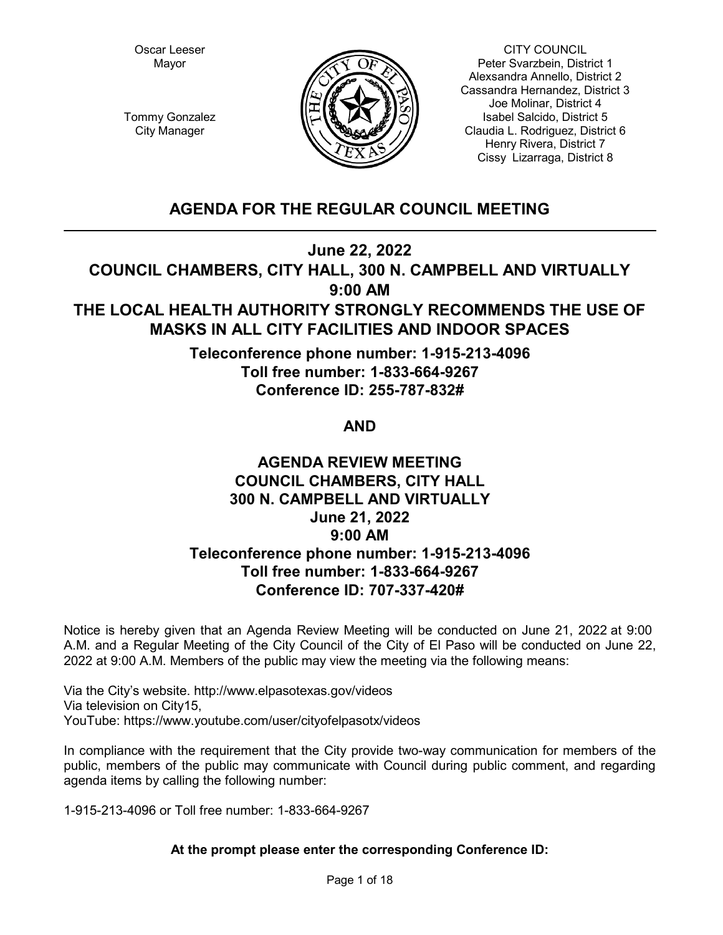Oscar Leeser Mayor



CITY COUNCIL Peter Svarzbein, District 1 Alexsandra Annello, District 2 Cassandra Hernandez, District 3 Joe Molinar, District 4 Isabel Salcido, District 5 Claudia L. Rodriguez, District 6 Henry Rivera, District 7 Cissy Lizarraga, District 8

Tommy Gonzalez City Manager

# **AGENDA FOR THE REGULAR COUNCIL MEETING**

**June 22, 2022**

**COUNCIL CHAMBERS, CITY HALL, 300 N. CAMPBELL AND VIRTUALLY 9:00 AM**

# **THE LOCAL HEALTH AUTHORITY STRONGLY RECOMMENDS THE USE OF MASKS IN ALL CITY FACILITIES AND INDOOR SPACES**

**Teleconference phone number: 1-915-213-4096 Toll free number: 1-833-664-9267 Conference ID: 255-787-832#** 

# **AND**

# **AGENDA REVIEW MEETING COUNCIL CHAMBERS, CITY HALL 300 N. CAMPBELL AND VIRTUALLY June 21, 2022 9:00 AM Teleconference phone number: 1-915-213-4096 Toll free number: 1-833-664-9267 Conference ID: 707-337-420#**

Notice is hereby given that an Agenda Review Meeting will be conducted on June 21, 2022 at 9:00 A.M. and a Regular Meeting of the City Council of the City of El Paso will be conducted on June 22, 2022 at 9:00 A.M. Members of the public may view the meeting via the following means:

Via the City's website. http://www.elpasotexas.gov/videos Via television on City15, YouTube: https://www.youtube.com/user/cityofelpasotx/videos

In compliance with the requirement that the City provide two-way communication for members of the public, members of the public may communicate with Council during public comment, and regarding agenda items by calling the following number:

1-915-213-4096 or Toll free number: 1-833-664-9267

# **At the prompt please enter the corresponding Conference ID:**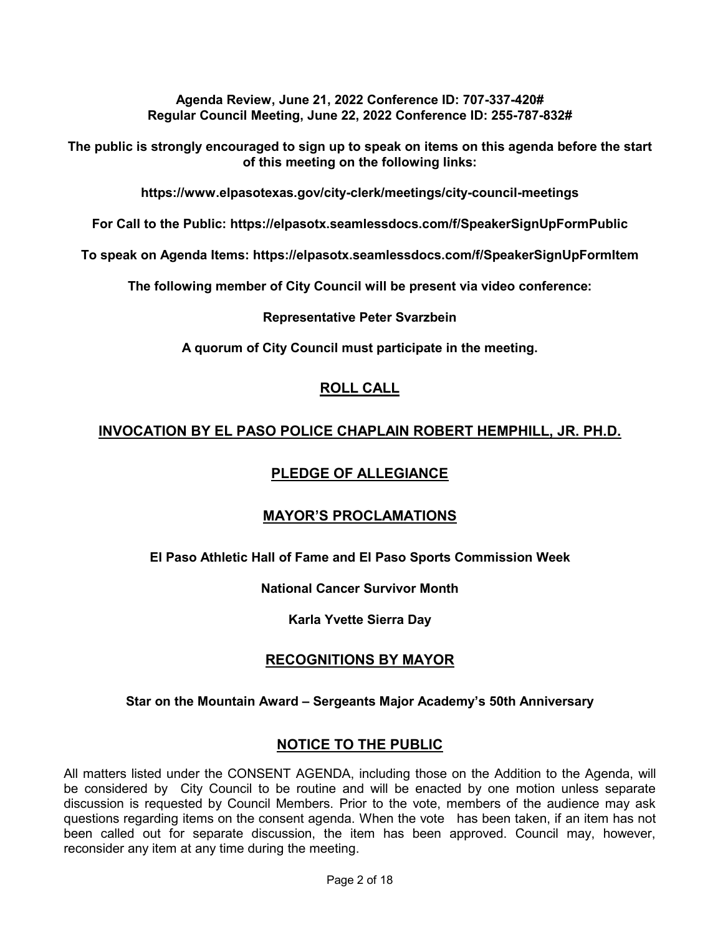**Agenda Review, June 21, 2022 Conference ID: 707-337-420# Regular Council Meeting, June 22, 2022 Conference ID: 255-787-832#** 

**The public is strongly encouraged to sign up to speak on items on this agenda before the start of this meeting on the following links:**

**https://www.elpasotexas.gov/city-clerk/meetings/city-council-meetings**

**For Call to the Public: https://elpasotx.seamlessdocs.com/f/SpeakerSignUpFormPublic**

**To speak on Agenda Items: https://elpasotx.seamlessdocs.com/f/SpeakerSignUpFormItem**

**The following member of City Council will be present via video conference:**

### **Representative Peter Svarzbein**

**A quorum of City Council must participate in the meeting.**

# **ROLL CALL**

# **INVOCATION BY EL PASO POLICE CHAPLAIN ROBERT HEMPHILL, JR. PH.D.**

# **PLEDGE OF ALLEGIANCE**

# **MAYOR'S PROCLAMATIONS**

**El Paso Athletic Hall of Fame and El Paso Sports Commission Week**

**National Cancer Survivor Month**

**Karla Yvette Sierra Day**

# **RECOGNITIONS BY MAYOR**

### **Star on the Mountain Award – Sergeants Major Academy's 50th Anniversary**

# **NOTICE TO THE PUBLIC**

All matters listed under the CONSENT AGENDA, including those on the Addition to the Agenda, will be considered by City Council to be routine and will be enacted by one motion unless separate discussion is requested by Council Members. Prior to the vote, members of the audience may ask questions regarding items on the consent agenda. When the vote has been taken, if an item has not been called out for separate discussion, the item has been approved. Council may, however, reconsider any item at any time during the meeting.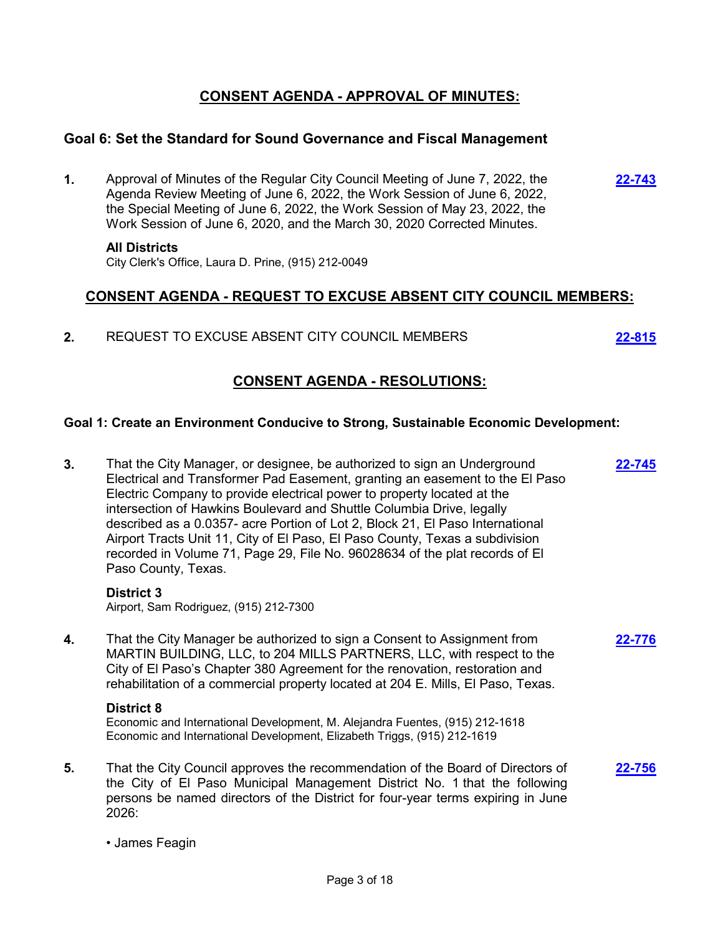# **CONSENT AGENDA - APPROVAL OF MINUTES:**

## **Goal 6: Set the Standard for Sound Governance and Fiscal Management**

**1.** Approval of Minutes of the Regular City Council Meeting of June 7, 2022, the Agenda Review Meeting of June 6, 2022, the Work Session of June 6, 2022, the Special Meeting of June 6, 2022, the Work Session of May 23, 2022, the Work Session of June 6, 2020, and the March 30, 2020 Corrected Minutes. **[22-743](http://elpasotexas.legistar.com/gateway.aspx?m=l&id=/matter.aspx?key=7206)**

#### **All Districts**

City Clerk's Office, Laura D. Prine, (915) 212-0049

# **CONSENT AGENDA - REQUEST TO EXCUSE ABSENT CITY COUNCIL MEMBERS:**

**2.** REQUEST TO EXCUSE ABSENT CITY COUNCIL MEMBERS **[22-815](http://elpasotexas.legistar.com/gateway.aspx?m=l&id=/matter.aspx?key=7277)**

# **CONSENT AGENDA - RESOLUTIONS:**

### **Goal 1: Create an Environment Conducive to Strong, Sustainable Economic Development:**

**3.** That the City Manager, or designee, be authorized to sign an Underground Electrical and Transformer Pad Easement, granting an easement to the El Paso Electric Company to provide electrical power to property located at the intersection of Hawkins Boulevard and Shuttle Columbia Drive, legally described as a 0.0357- acre Portion of Lot 2, Block 21, El Paso International Airport Tracts Unit 11, City of El Paso, El Paso County, Texas a subdivision recorded in Volume 71, Page 29, File No. 96028634 of the plat records of El Paso County, Texas. **[22-745](http://elpasotexas.legistar.com/gateway.aspx?m=l&id=/matter.aspx?key=7208) District 3** Airport, Sam Rodriguez, (915) 212-7300 **4.** That the City Manager be authorized to sign a Consent to Assignment from MARTIN BUILDING, LLC, to 204 MILLS PARTNERS, LLC, with respect to the City of El Paso's Chapter 380 Agreement for the renovation, restoration and rehabilitation of a commercial property located at 204 E. Mills, El Paso, Texas. **[22-776](http://elpasotexas.legistar.com/gateway.aspx?m=l&id=/matter.aspx?key=7238) District 8** Economic and International Development, M. Alejandra Fuentes, (915) 212-1618 Economic and International Development, Elizabeth Triggs, (915) 212-1619 **5.** That the City Council approves the recommendation of the Board of Directors of the City of El Paso Municipal Management District No. 1 that the following persons be named directors of the District for four-year terms expiring in June 2026: **[22-756](http://elpasotexas.legistar.com/gateway.aspx?m=l&id=/matter.aspx?key=7218)**

• James Feagin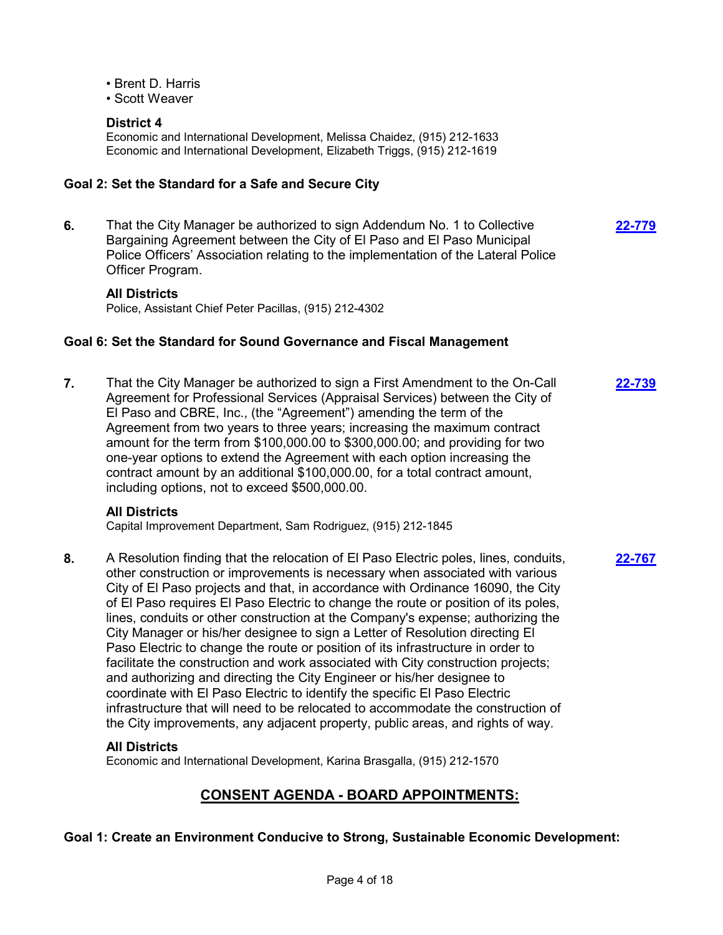- Brent D. Harris
- Scott Weaver

## **District 4**

Economic and International Development, Melissa Chaidez, (915) 212-1633 Economic and International Development, Elizabeth Triggs, (915) 212-1619

### **Goal 2: Set the Standard for a Safe and Secure City**

**6.** That the City Manager be authorized to sign Addendum No. 1 to Collective Bargaining Agreement between the City of El Paso and El Paso Municipal Police Officers' Association relating to the implementation of the Lateral Police Officer Program.

**[22-779](http://elpasotexas.legistar.com/gateway.aspx?m=l&id=/matter.aspx?key=7241)**

**[22-767](http://elpasotexas.legistar.com/gateway.aspx?m=l&id=/matter.aspx?key=7229)**

### **All Districts**

Police, Assistant Chief Peter Pacillas, (915) 212-4302

### **Goal 6: Set the Standard for Sound Governance and Fiscal Management**

**7.** That the City Manager be authorized to sign a First Amendment to the On-Call Agreement for Professional Services (Appraisal Services) between the City of El Paso and CBRE, Inc., (the "Agreement") amending the term of the Agreement from two years to three years; increasing the maximum contract amount for the term from \$100,000.00 to \$300,000.00; and providing for two one-year options to extend the Agreement with each option increasing the contract amount by an additional \$100,000.00, for a total contract amount, including options, not to exceed \$500,000.00. **[22-739](http://elpasotexas.legistar.com/gateway.aspx?m=l&id=/matter.aspx?key=7202)**

### **All Districts**

Capital Improvement Department, Sam Rodriguez, (915) 212-1845

**8.** A Resolution finding that the relocation of El Paso Electric poles, lines, conduits, other construction or improvements is necessary when associated with various City of El Paso projects and that, in accordance with Ordinance 16090, the City of El Paso requires El Paso Electric to change the route or position of its poles, lines, conduits or other construction at the Company's expense; authorizing the City Manager or his/her designee to sign a Letter of Resolution directing El Paso Electric to change the route or position of its infrastructure in order to facilitate the construction and work associated with City construction projects; and authorizing and directing the City Engineer or his/her designee to coordinate with El Paso Electric to identify the specific El Paso Electric infrastructure that will need to be relocated to accommodate the construction of the City improvements, any adjacent property, public areas, and rights of way.

### **All Districts**

Economic and International Development, Karina Brasgalla, (915) 212-1570

# **CONSENT AGENDA - BOARD APPOINTMENTS:**

**Goal 1: Create an Environment Conducive to Strong, Sustainable Economic Development:**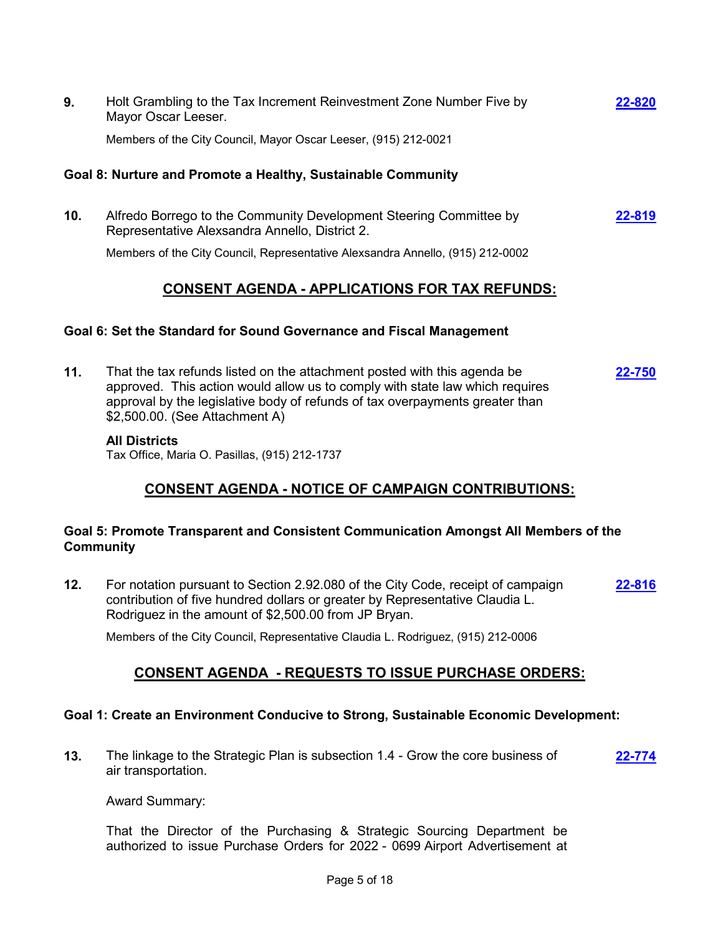**9.** Holt Grambling to the Tax Increment Reinvestment Zone Number Five by Mayor Oscar Leeser. **[22-820](http://elpasotexas.legistar.com/gateway.aspx?m=l&id=/matter.aspx?key=7282)**

Members of the City Council, Mayor Oscar Leeser, (915) 212-0021

### **Goal 8: Nurture and Promote a Healthy, Sustainable Community**

**10.** Alfredo Borrego to the Community Development Steering Committee by Representative Alexsandra Annello, District 2. **[22-819](http://elpasotexas.legistar.com/gateway.aspx?m=l&id=/matter.aspx?key=7281)**

Members of the City Council, Representative Alexsandra Annello, (915) 212-0002

# **CONSENT AGENDA - APPLICATIONS FOR TAX REFUNDS:**

### **Goal 6: Set the Standard for Sound Governance and Fiscal Management**

**11.** That the tax refunds listed on the attachment posted with this agenda be approved. This action would allow us to comply with state law which requires approval by the legislative body of refunds of tax overpayments greater than \$2,500.00. (See Attachment A) **[22-750](http://elpasotexas.legistar.com/gateway.aspx?m=l&id=/matter.aspx?key=7212)**

### **All Districts**

Tax Office, Maria O. Pasillas, (915) 212-1737

# **CONSENT AGENDA - NOTICE OF CAMPAIGN CONTRIBUTIONS:**

### **Goal 5: Promote Transparent and Consistent Communication Amongst All Members of the Community**

**12.** For notation pursuant to Section 2.92.080 of the City Code, receipt of campaign contribution of five hundred dollars or greater by Representative Claudia L. Rodriguez in the amount of \$2,500.00 from JP Bryan. **[22-816](http://elpasotexas.legistar.com/gateway.aspx?m=l&id=/matter.aspx?key=7278)**

Members of the City Council, Representative Claudia L. Rodriguez, (915) 212-0006

# **CONSENT AGENDA - REQUESTS TO ISSUE PURCHASE ORDERS:**

### **Goal 1: Create an Environment Conducive to Strong, Sustainable Economic Development:**

**13.** The linkage to the Strategic Plan is subsection 1.4 - Grow the core business of air transportation. **[22-774](http://elpasotexas.legistar.com/gateway.aspx?m=l&id=/matter.aspx?key=7236)**

Award Summary:

That the Director of the Purchasing & Strategic Sourcing Department be authorized to issue Purchase Orders for 2022 - 0699 Airport Advertisement at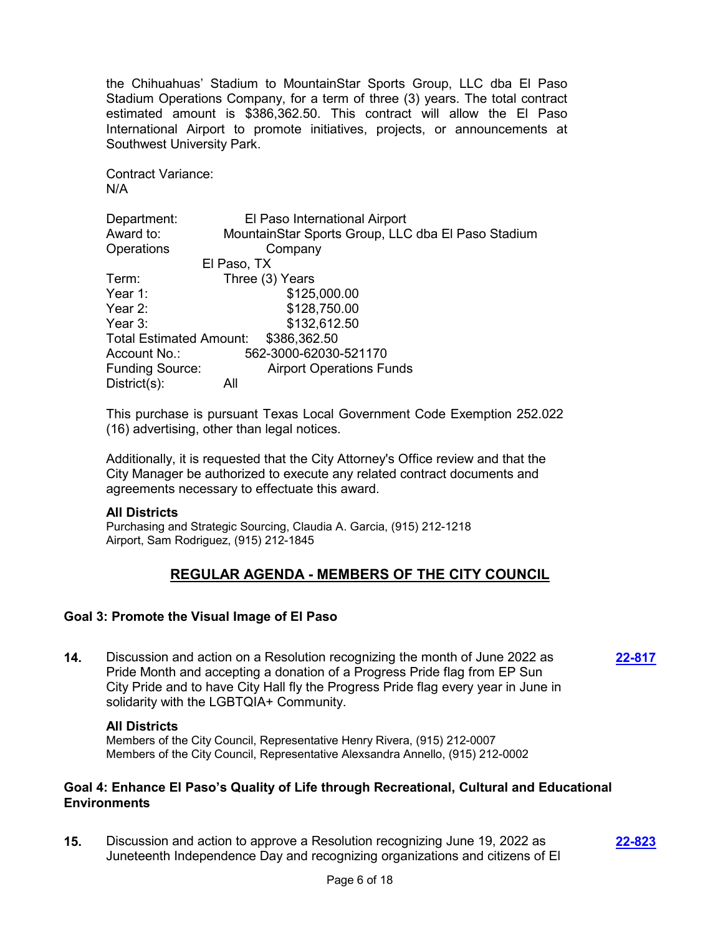the Chihuahuas' Stadium to MountainStar Sports Group, LLC dba El Paso Stadium Operations Company, for a term of three (3) years. The total contract estimated amount is \$386,362.50. This contract will allow the El Paso International Airport to promote initiatives, projects, or announcements at Southwest University Park.

Contract Variance: N/A

| Department:                    | El Paso International Airport                      |
|--------------------------------|----------------------------------------------------|
| Award to:                      | MountainStar Sports Group, LLC dba El Paso Stadium |
| Operations                     | Company                                            |
|                                | El Paso, TX                                        |
| Term:                          | Three (3) Years                                    |
| Year 1:                        | \$125,000.00                                       |
| Year 2:                        | \$128,750.00                                       |
| Year 3:                        | \$132,612.50                                       |
| <b>Total Estimated Amount:</b> | \$386,362.50                                       |
| Account No.:                   | 562-3000-62030-521170                              |
| <b>Funding Source:</b>         | <b>Airport Operations Funds</b>                    |
| $Distribt(s)$ :                | All                                                |

This purchase is pursuant Texas Local Government Code Exemption 252.022 (16) advertising, other than legal notices.

Additionally, it is requested that the City Attorney's Office review and that the City Manager be authorized to execute any related contract documents and agreements necessary to effectuate this award.

### **All Districts**

Purchasing and Strategic Sourcing, Claudia A. Garcia, (915) 212-1218 Airport, Sam Rodriguez, (915) 212-1845

# **REGULAR AGENDA - MEMBERS OF THE CITY COUNCIL**

### **Goal 3: Promote the Visual Image of El Paso**

**14.** Discussion and action on a Resolution recognizing the month of June 2022 as Pride Month and accepting a donation of a Progress Pride flag from EP Sun City Pride and to have City Hall fly the Progress Pride flag every year in June in solidarity with the LGBTQIA+ Community.

**[22-817](http://elpasotexas.legistar.com/gateway.aspx?m=l&id=/matter.aspx?key=7279)**

#### **All Districts**

Members of the City Council, Representative Henry Rivera, (915) 212-0007 Members of the City Council, Representative Alexsandra Annello, (915) 212-0002

### **Goal 4: Enhance El Paso's Quality of Life through Recreational, Cultural and Educational Environments**

**15.** Discussion and action to approve a Resolution recognizing June 19, 2022 as Juneteenth Independence Day and recognizing organizations and citizens of El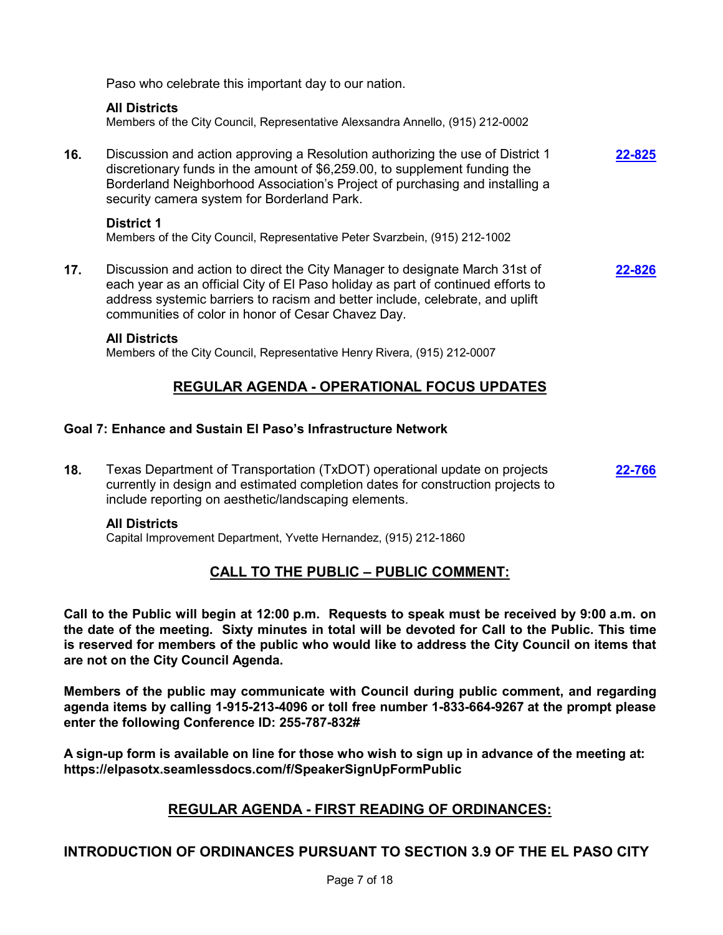Paso who celebrate this important day to our nation.

### **All Districts**

Members of the City Council, Representative Alexsandra Annello, (915) 212-0002

**16.** Discussion and action approving a Resolution authorizing the use of District 1 discretionary funds in the amount of \$6,259.00, to supplement funding the Borderland Neighborhood Association's Project of purchasing and installing a security camera system for Borderland Park. **[22-825](http://elpasotexas.legistar.com/gateway.aspx?m=l&id=/matter.aspx?key=7287)**

### **District 1**

Members of the City Council, Representative Peter Svarzbein, (915) 212-1002

**17.** Discussion and action to direct the City Manager to designate March 31st of each year as an official City of El Paso holiday as part of continued efforts to address systemic barriers to racism and better include, celebrate, and uplift communities of color in honor of Cesar Chavez Day. **[22-826](http://elpasotexas.legistar.com/gateway.aspx?m=l&id=/matter.aspx?key=7288)**

### **All Districts**

Members of the City Council, Representative Henry Rivera, (915) 212-0007

# **REGULAR AGENDA - OPERATIONAL FOCUS UPDATES**

### **Goal 7: Enhance and Sustain El Paso's Infrastructure Network**

**18.** Texas Department of Transportation (TxDOT) operational update on projects currently in design and estimated completion dates for construction projects to include reporting on aesthetic/landscaping elements. **[22-766](http://elpasotexas.legistar.com/gateway.aspx?m=l&id=/matter.aspx?key=7228)**

### **All Districts**

Capital Improvement Department, Yvette Hernandez, (915) 212-1860

# **CALL TO THE PUBLIC – PUBLIC COMMENT:**

**Call to the Public will begin at 12:00 p.m. Requests to speak must be received by 9:00 a.m. on the date of the meeting. Sixty minutes in total will be devoted for Call to the Public. This time is reserved for members of the public who would like to address the City Council on items that are not on the City Council Agenda.**

**Members of the public may communicate with Council during public comment, and regarding agenda items by calling 1-915-213-4096 or toll free number 1-833-664-9267 at the prompt please enter the following Conference ID: 255-787-832#** 

**A sign-up form is available on line for those who wish to sign up in advance of the meeting at: https://elpasotx.seamlessdocs.com/f/SpeakerSignUpFormPublic**

# **REGULAR AGENDA - FIRST READING OF ORDINANCES:**

# **INTRODUCTION OF ORDINANCES PURSUANT TO SECTION 3.9 OF THE EL PASO CITY**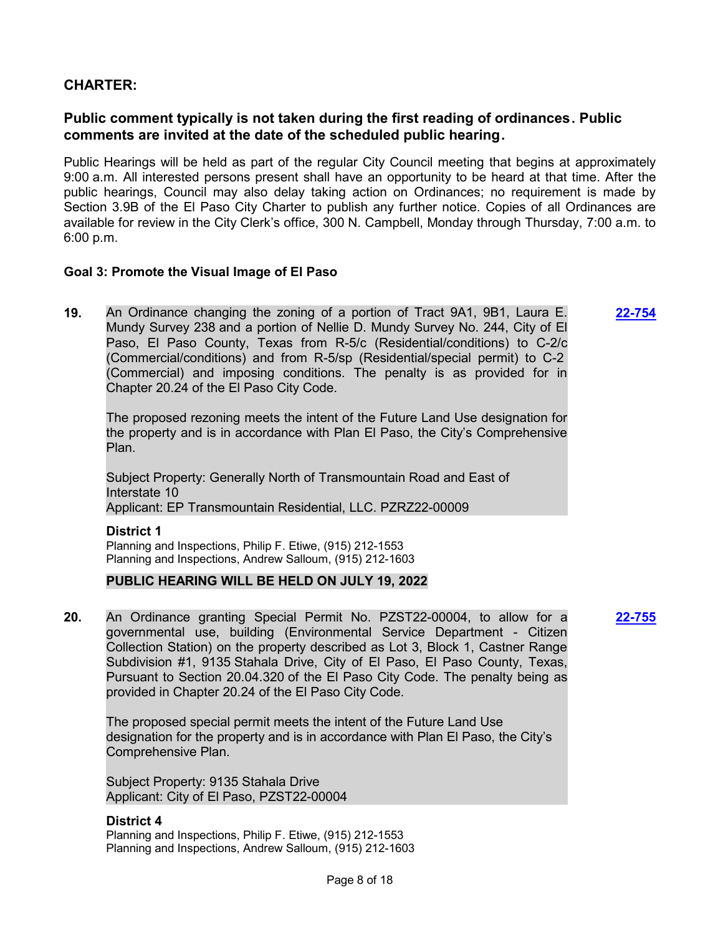## **CHARTER:**

# **Public comment typically is not taken during the first reading of ordinances. Public comments are invited at the date of the scheduled public hearing.**

Public Hearings will be held as part of the regular City Council meeting that begins at approximately 9:00 a.m. All interested persons present shall have an opportunity to be heard at that time. After the public hearings, Council may also delay taking action on Ordinances; no requirement is made by Section 3.9B of the El Paso City Charter to publish any further notice. Copies of all Ordinances are available for review in the City Clerk's office, 300 N. Campbell, Monday through Thursday, 7:00 a.m. to 6:00 p.m.

**[22-754](http://elpasotexas.legistar.com/gateway.aspx?m=l&id=/matter.aspx?key=7216)**

### **Goal 3: Promote the Visual Image of El Paso**

**19.** An Ordinance changing the zoning of a portion of Tract 9A1, 9B1, Laura E. Mundy Survey 238 and a portion of Nellie D. Mundy Survey No. 244, City of El Paso, El Paso County, Texas from R-5/c (Residential/conditions) to C-2/c (Commercial/conditions) and from R-5/sp (Residential/special permit) to C-2 (Commercial) and imposing conditions. The penalty is as provided for in Chapter 20.24 of the El Paso City Code.

The proposed rezoning meets the intent of the Future Land Use designation for the property and is in accordance with Plan El Paso, the City's Comprehensive Plan.

Subject Property: Generally North of Transmountain Road and East of Interstate 10 Applicant: EP Transmountain Residential, LLC. PZRZ22-00009

**District 1** Planning and Inspections, Philip F. Etiwe, (915) 212-1553 Planning and Inspections, Andrew Salloum, (915) 212-1603

### **PUBLIC HEARING WILL BE HELD ON JULY 19, 2022**

**20.** An Ordinance granting Special Permit No. PZST22-00004, to allow for a governmental use, building (Environmental Service Department - Citizen Collection Station) on the property described as Lot 3, Block 1, Castner Range Subdivision #1, 9135 Stahala Drive, City of El Paso, El Paso County, Texas, Pursuant to Section 20.04.320 of the El Paso City Code. The penalty being as provided in Chapter 20.24 of the El Paso City Code. **[22-755](http://elpasotexas.legistar.com/gateway.aspx?m=l&id=/matter.aspx?key=7217)**

The proposed special permit meets the intent of the Future Land Use designation for the property and is in accordance with Plan El Paso, the City's Comprehensive Plan.

Subject Property: 9135 Stahala Drive Applicant: City of El Paso, PZST22-00004

### **District 4**

Planning and Inspections, Philip F. Etiwe, (915) 212-1553 Planning and Inspections, Andrew Salloum, (915) 212-1603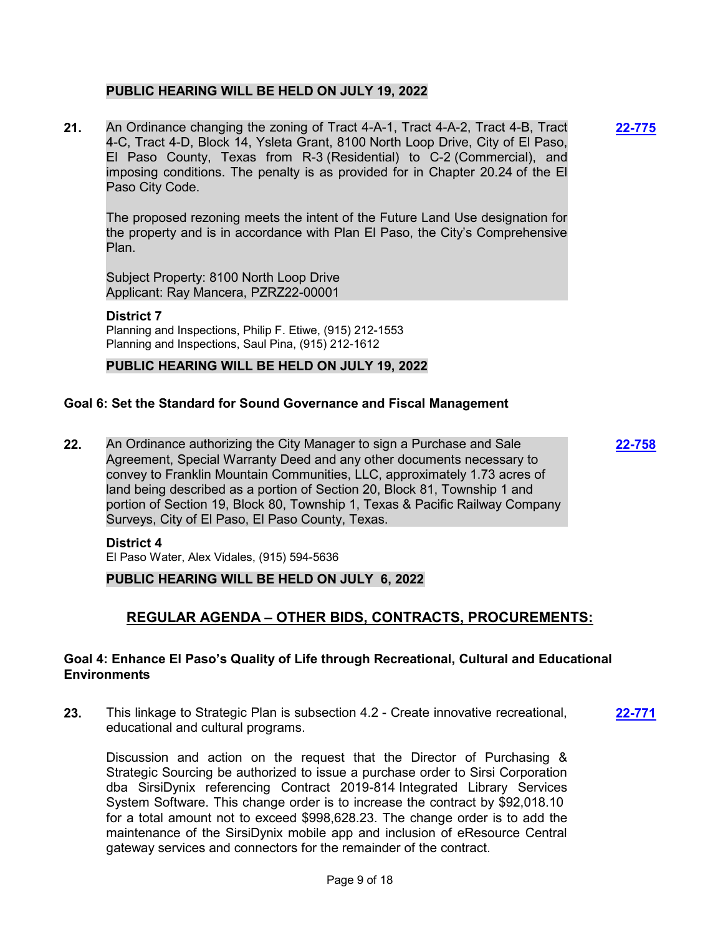### **PUBLIC HEARING WILL BE HELD ON JULY 19, 2022**

**21.** An Ordinance changing the zoning of Tract 4-A-1, Tract 4-A-2, Tract 4-B, Tract 4-C, Tract 4-D, Block 14, Ysleta Grant, 8100 North Loop Drive, City of El Paso, El Paso County, Texas from R-3 (Residential) to C-2 (Commercial), and imposing conditions. The penalty is as provided for in Chapter 20.24 of the El Paso City Code.

The proposed rezoning meets the intent of the Future Land Use designation for the property and is in accordance with Plan El Paso, the City's Comprehensive Plan.

Subject Property: 8100 North Loop Drive Applicant: Ray Mancera, PZRZ22-00001

**District 7** Planning and Inspections, Philip F. Etiwe, (915) 212-1553 Planning and Inspections, Saul Pina, (915) 212-1612

### **PUBLIC HEARING WILL BE HELD ON JULY 19, 2022**

### **Goal 6: Set the Standard for Sound Governance and Fiscal Management**

**22.** An Ordinance authorizing the City Manager to sign a Purchase and Sale Agreement, Special Warranty Deed and any other documents necessary to convey to Franklin Mountain Communities, LLC, approximately 1.73 acres of land being described as a portion of Section 20, Block 81, Township 1 and portion of Section 19, Block 80, Township 1, Texas & Pacific Railway Company Surveys, City of El Paso, El Paso County, Texas.

#### **District 4**

El Paso Water, Alex Vidales, (915) 594-5636

### **PUBLIC HEARING WILL BE HELD ON JULY 6, 2022**

# **REGULAR AGENDA – OTHER BIDS, CONTRACTS, PROCUREMENTS:**

### **Goal 4: Enhance El Paso's Quality of Life through Recreational, Cultural and Educational Environments**

**23.** This linkage to Strategic Plan is subsection 4.2 - Create innovative recreational, educational and cultural programs. **[22-771](http://elpasotexas.legistar.com/gateway.aspx?m=l&id=/matter.aspx?key=7233)**

Discussion and action on the request that the Director of Purchasing & Strategic Sourcing be authorized to issue a purchase order to Sirsi Corporation dba SirsiDynix referencing Contract 2019-814 Integrated Library Services System Software. This change order is to increase the contract by \$92,018.10 for a total amount not to exceed \$998,628.23. The change order is to add the maintenance of the SirsiDynix mobile app and inclusion of eResource Central gateway services and connectors for the remainder of the contract.

**[22-758](http://elpasotexas.legistar.com/gateway.aspx?m=l&id=/matter.aspx?key=7220)**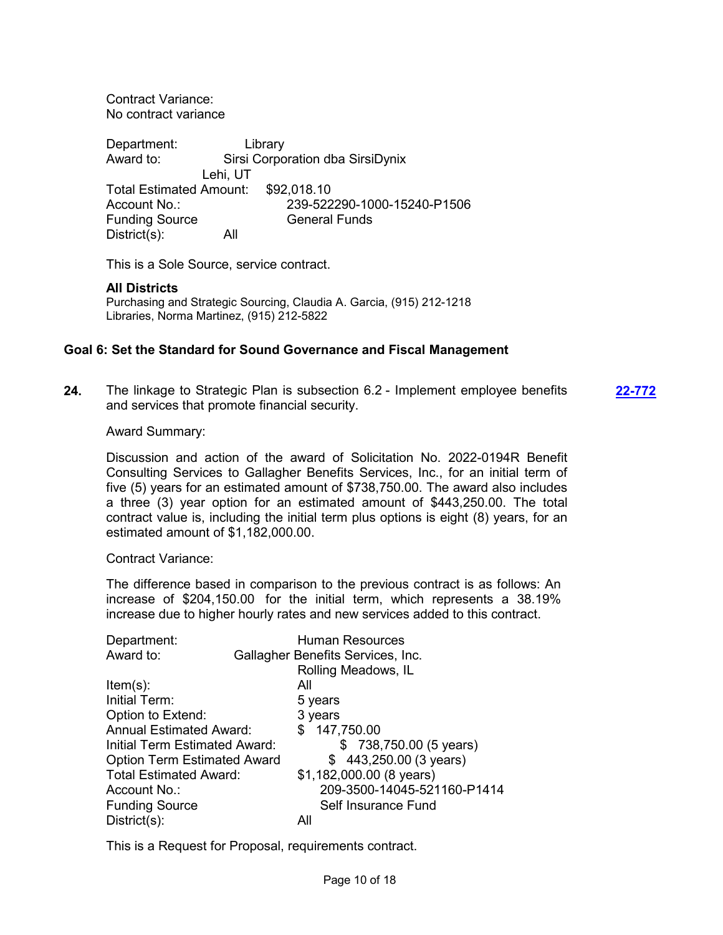Contract Variance: No contract variance

Department: Library Award to: Sirsi Corporation dba SirsiDynix Lehi, UT Total Estimated Amount: \$92,018.10 Account No.: 239-522290-1000-15240-P1506 **Funding Source General Funds** District(s): All

This is a Sole Source, service contract.

#### **All Districts**

Purchasing and Strategic Sourcing, Claudia A. Garcia, (915) 212-1218 Libraries, Norma Martinez, (915) 212-5822

### **Goal 6: Set the Standard for Sound Governance and Fiscal Management**

**24.** The linkage to Strategic Plan is subsection 6.2 - Implement employee benefits and services that promote financial security.

**[22-772](http://elpasotexas.legistar.com/gateway.aspx?m=l&id=/matter.aspx?key=7234)**

#### Award Summary:

Discussion and action of the award of Solicitation No. 2022-0194R Benefit Consulting Services to Gallagher Benefits Services, Inc., for an initial term of five (5) years for an estimated amount of \$738,750.00. The award also includes a three (3) year option for an estimated amount of \$443,250.00. The total contract value is, including the initial term plus options is eight (8) years, for an estimated amount of \$1,182,000.00.

Contract Variance:

The difference based in comparison to the previous contract is as follows: An increase of \$204,150.00 for the initial term, which represents a 38.19% increase due to higher hourly rates and new services added to this contract.

| Department:                        | <b>Human Resources</b>            |
|------------------------------------|-----------------------------------|
| Award to:                          | Gallagher Benefits Services, Inc. |
|                                    | Rolling Meadows, IL               |
| $Item(s)$ :                        | All                               |
| Initial Term:                      | 5 years                           |
| Option to Extend:                  | 3 years                           |
| <b>Annual Estimated Award:</b>     | \$147,750.00                      |
| Initial Term Estimated Award:      | \$738,750.00 (5 years)            |
| <b>Option Term Estimated Award</b> | $$443,250.00(3 \text{ years})$    |
| <b>Total Estimated Award:</b>      | \$1,182,000.00 (8 years)          |
| Account No.:                       | 209-3500-14045-521160-P1414       |
| <b>Funding Source</b>              | Self Insurance Fund               |
| $District(s)$ :                    | All                               |

This is a Request for Proposal, requirements contract.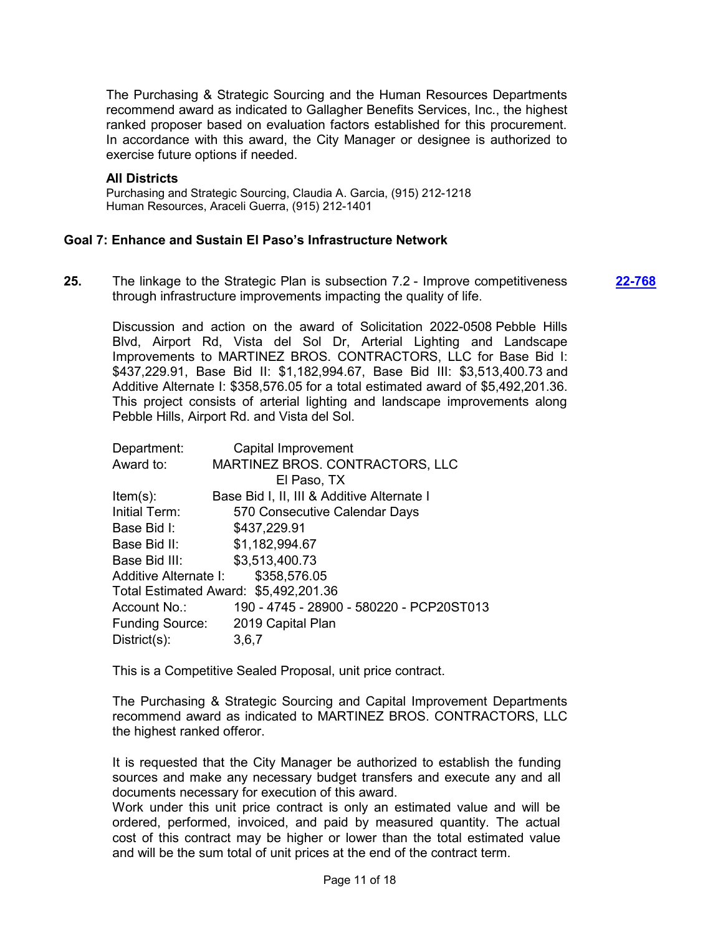The Purchasing & Strategic Sourcing and the Human Resources Departments recommend award as indicated to Gallagher Benefits Services, Inc., the highest ranked proposer based on evaluation factors established for this procurement. In accordance with this award, the City Manager or designee is authorized to exercise future options if needed.

#### **All Districts**

Purchasing and Strategic Sourcing, Claudia A. Garcia, (915) 212-1218 Human Resources, Araceli Guerra, (915) 212-1401

#### **Goal 7: Enhance and Sustain El Paso's Infrastructure Network**

**25.** The linkage to the Strategic Plan is subsection 7.2 - Improve competitiveness through infrastructure improvements impacting the quality of life. **[22-768](http://elpasotexas.legistar.com/gateway.aspx?m=l&id=/matter.aspx?key=7230)**

Discussion and action on the award of Solicitation 2022-0508 Pebble Hills Blvd, Airport Rd, Vista del Sol Dr, Arterial Lighting and Landscape Improvements to MARTINEZ BROS. CONTRACTORS, LLC for Base Bid I: \$437,229.91, Base Bid II: \$1,182,994.67, Base Bid III: \$3,513,400.73 and Additive Alternate I: \$358,576.05 for a total estimated award of \$5,492,201.36. This project consists of arterial lighting and landscape improvements along Pebble Hills, Airport Rd. and Vista del Sol.

| Capital Improvement                         |
|---------------------------------------------|
| MARTINEZ BROS. CONTRACTORS, LLC             |
| El Paso, TX                                 |
| Base Bid I, II, III & Additive Alternate I  |
| 570 Consecutive Calendar Days               |
| \$437,229.91                                |
| \$1,182,994.67                              |
| \$3,513,400.73                              |
| \$358,576.05<br>Additive Alternate I:       |
| Total Estimated Award: \$5,492,201.36       |
| 190 - 4745 - 28900 - 580220 - PCP20ST013    |
| <b>Funding Source:</b><br>2019 Capital Plan |
| 3,6,7                                       |
|                                             |

This is a Competitive Sealed Proposal, unit price contract.

The Purchasing & Strategic Sourcing and Capital Improvement Departments recommend award as indicated to MARTINEZ BROS. CONTRACTORS, LLC the highest ranked offeror.

It is requested that the City Manager be authorized to establish the funding sources and make any necessary budget transfers and execute any and all documents necessary for execution of this award.

Work under this unit price contract is only an estimated value and will be ordered, performed, invoiced, and paid by measured quantity. The actual cost of this contract may be higher or lower than the total estimated value and will be the sum total of unit prices at the end of the contract term.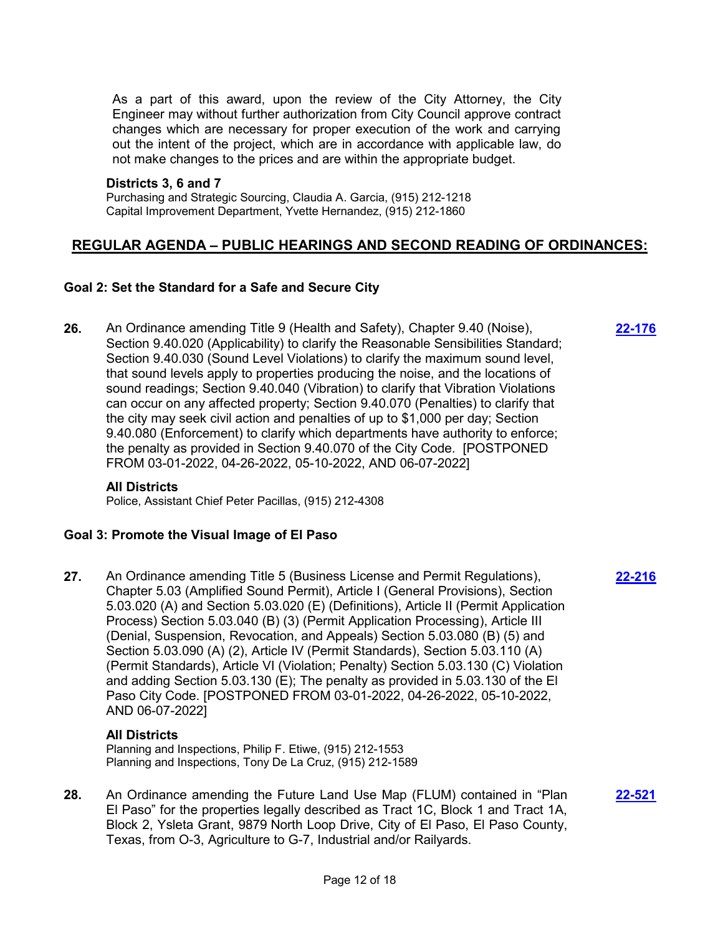As a part of this award, upon the review of the City Attorney, the City Engineer may without further authorization from City Council approve contract changes which are necessary for proper execution of the work and carrying out the intent of the project, which are in accordance with applicable law, do not make changes to the prices and are within the appropriate budget.

#### **Districts 3, 6 and 7**

Purchasing and Strategic Sourcing, Claudia A. Garcia, (915) 212-1218 Capital Improvement Department, Yvette Hernandez, (915) 212-1860

## **REGULAR AGENDA – PUBLIC HEARINGS AND SECOND READING OF ORDINANCES:**

### **Goal 2: Set the Standard for a Safe and Secure City**

**26.** An Ordinance amending Title 9 (Health and Safety), Chapter 9.40 (Noise), Section 9.40.020 (Applicability) to clarify the Reasonable Sensibilities Standard; Section 9.40.030 (Sound Level Violations) to clarify the maximum sound level, that sound levels apply to properties producing the noise, and the locations of sound readings; Section 9.40.040 (Vibration) to clarify that Vibration Violations can occur on any affected property; Section 9.40.070 (Penalties) to clarify that the city may seek civil action and penalties of up to \$1,000 per day; Section 9.40.080 (Enforcement) to clarify which departments have authority to enforce; the penalty as provided in Section 9.40.070 of the City Code. [POSTPONED FROM 03-01-2022, 04-26-2022, 05-10-2022, AND 06-07-2022]

### **All Districts**

Police, Assistant Chief Peter Pacillas, (915) 212-4308

### **Goal 3: Promote the Visual Image of El Paso**

**27.** An Ordinance amending Title 5 (Business License and Permit Regulations), Chapter 5.03 (Amplified Sound Permit), Article I (General Provisions), Section 5.03.020 (A) and Section 5.03.020 (E) (Definitions), Article II (Permit Application Process) Section 5.03.040 (B) (3) (Permit Application Processing), Article III (Denial, Suspension, Revocation, and Appeals) Section 5.03.080 (B) (5) and Section 5.03.090 (A) (2), Article IV (Permit Standards), Section 5.03.110 (A) (Permit Standards), Article VI (Violation; Penalty) Section 5.03.130 (C) Violation and adding Section 5.03.130 (E); The penalty as provided in 5.03.130 of the El Paso City Code. [POSTPONED FROM 03-01-2022, 04-26-2022, 05-10-2022, AND 06-07-2022]

### **All Districts**

Planning and Inspections, Philip F. Etiwe, (915) 212-1553 Planning and Inspections, Tony De La Cruz, (915) 212-1589

**28.** An Ordinance amending the Future Land Use Map (FLUM) contained in "Plan El Paso" for the properties legally described as Tract 1C, Block 1 and Tract 1A, Block 2, Ysleta Grant, 9879 North Loop Drive, City of El Paso, El Paso County, Texas, from O-3, Agriculture to G-7, Industrial and/or Railyards.

**[22-216](http://elpasotexas.legistar.com/gateway.aspx?m=l&id=/matter.aspx?key=6680)**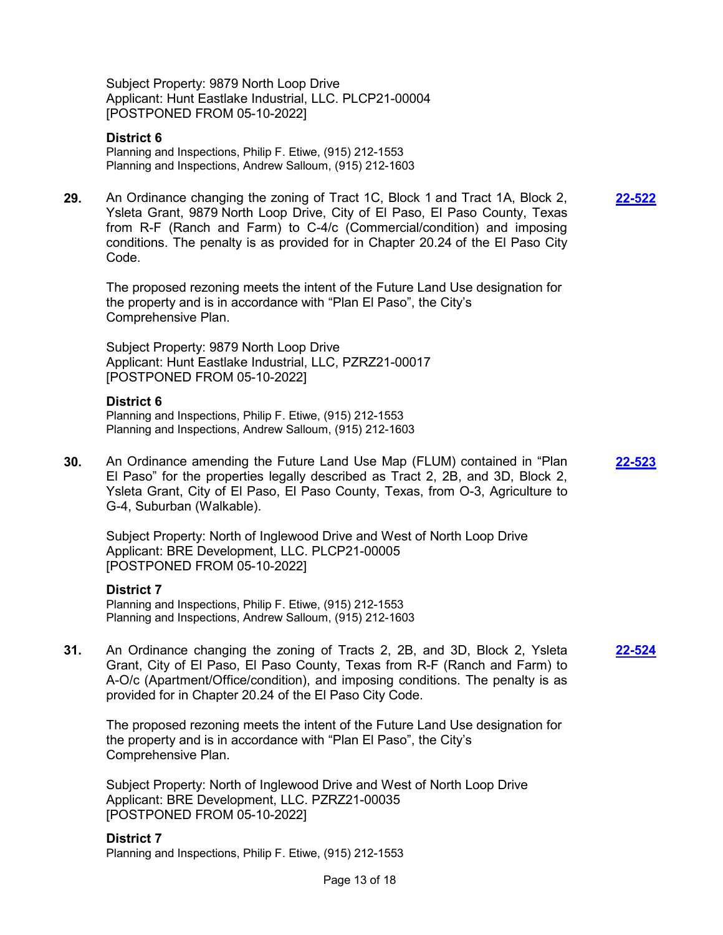Subject Property: 9879 North Loop Drive Applicant: Hunt Eastlake Industrial, LLC. PLCP21-00004 [POSTPONED FROM 05-10-2022]

#### **District 6**

Planning and Inspections, Philip F. Etiwe, (915) 212-1553 Planning and Inspections, Andrew Salloum, (915) 212-1603

**29.** An Ordinance changing the zoning of Tract 1C, Block 1 and Tract 1A, Block 2, Ysleta Grant, 9879 North Loop Drive, City of El Paso, El Paso County, Texas from R-F (Ranch and Farm) to C-4/c (Commercial/condition) and imposing conditions. The penalty is as provided for in Chapter 20.24 of the El Paso City Code.

The proposed rezoning meets the intent of the Future Land Use designation for the property and is in accordance with "Plan El Paso", the City's Comprehensive Plan.

Subject Property: 9879 North Loop Drive Applicant: Hunt Eastlake Industrial, LLC, PZRZ21-00017 [POSTPONED FROM 05-10-2022]

#### **District 6**

Planning and Inspections, Philip F. Etiwe, (915) 212-1553 Planning and Inspections, Andrew Salloum, (915) 212-1603

**30.** An Ordinance amending the Future Land Use Map (FLUM) contained in "Plan El Paso" for the properties legally described as Tract 2, 2B, and 3D, Block 2, Ysleta Grant, City of El Paso, El Paso County, Texas, from O-3, Agriculture to G-4, Suburban (Walkable). **[22-523](http://elpasotexas.legistar.com/gateway.aspx?m=l&id=/matter.aspx?key=6987)**

Subject Property: North of Inglewood Drive and West of North Loop Drive Applicant: BRE Development, LLC. PLCP21-00005 [POSTPONED FROM 05-10-2022]

#### **District 7**

Planning and Inspections, Philip F. Etiwe, (915) 212-1553 Planning and Inspections, Andrew Salloum, (915) 212-1603

**31.** An Ordinance changing the zoning of Tracts 2, 2B, and 3D, Block 2, Ysleta Grant, City of El Paso, El Paso County, Texas from R-F (Ranch and Farm) to A-O/c (Apartment/Office/condition), and imposing conditions. The penalty is as provided for in Chapter 20.24 of the El Paso City Code.

The proposed rezoning meets the intent of the Future Land Use designation for the property and is in accordance with "Plan El Paso", the City's Comprehensive Plan.

Subject Property: North of Inglewood Drive and West of North Loop Drive Applicant: BRE Development, LLC. PZRZ21-00035 [POSTPONED FROM 05-10-2022]

#### **District 7**

Planning and Inspections, Philip F. Etiwe, (915) 212-1553

**[22-522](http://elpasotexas.legistar.com/gateway.aspx?m=l&id=/matter.aspx?key=6986)**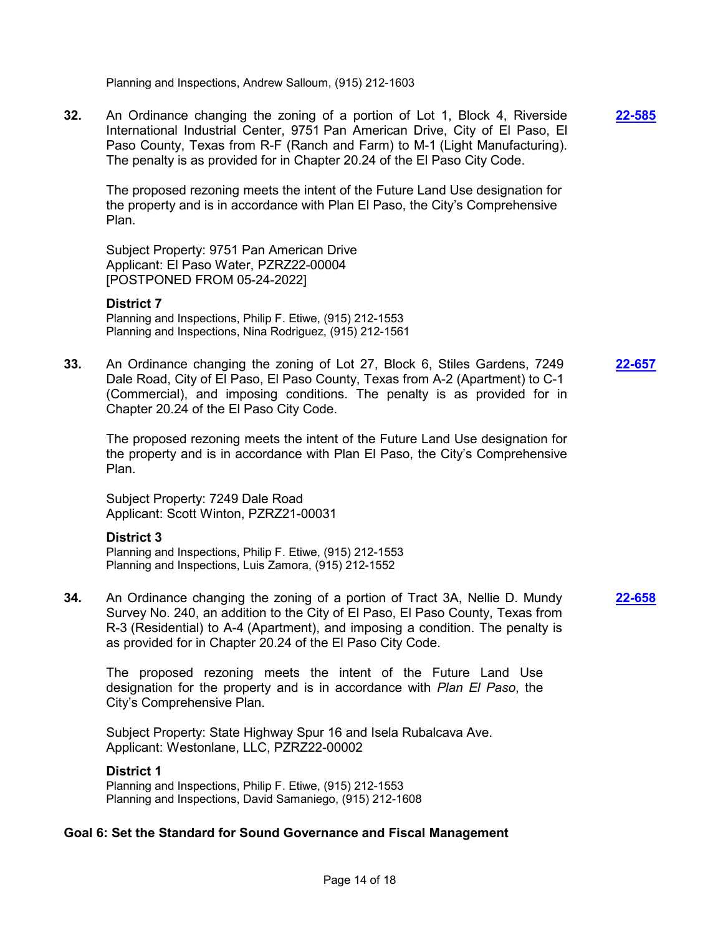Planning and Inspections, Andrew Salloum, (915) 212-1603

**32.** An Ordinance changing the zoning of a portion of Lot 1, Block 4, Riverside International Industrial Center, 9751 Pan American Drive, City of El Paso, El Paso County, Texas from R-F (Ranch and Farm) to M-1 (Light Manufacturing). The penalty is as provided for in Chapter 20.24 of the El Paso City Code.

**[22-585](http://elpasotexas.legistar.com/gateway.aspx?m=l&id=/matter.aspx?key=7049)**

The proposed rezoning meets the intent of the Future Land Use designation for the property and is in accordance with Plan El Paso, the City's Comprehensive Plan.

Subject Property: 9751 Pan American Drive Applicant: El Paso Water, PZRZ22-00004 [POSTPONED FROM 05-24-2022]

#### **District 7**

Planning and Inspections, Philip F. Etiwe, (915) 212-1553 Planning and Inspections, Nina Rodriguez, (915) 212-1561

**33.** An Ordinance changing the zoning of Lot 27, Block 6, Stiles Gardens, 7249 Dale Road, City of El Paso, El Paso County, Texas from A-2 (Apartment) to C-1 (Commercial), and imposing conditions. The penalty is as provided for in Chapter 20.24 of the El Paso City Code. **[22-657](http://elpasotexas.legistar.com/gateway.aspx?m=l&id=/matter.aspx?key=7120)**

The proposed rezoning meets the intent of the Future Land Use designation for the property and is in accordance with Plan El Paso, the City's Comprehensive Plan.

Subject Property: 7249 Dale Road Applicant: Scott Winton, PZRZ21-00031

#### **District 3**

Planning and Inspections, Philip F. Etiwe, (915) 212-1553 Planning and Inspections, Luis Zamora, (915) 212-1552

**34.** An Ordinance changing the zoning of a portion of Tract 3A, Nellie D. Mundy Survey No. 240, an addition to the City of El Paso, El Paso County, Texas from R-3 (Residential) to A-4 (Apartment), and imposing a condition. The penalty is as provided for in Chapter 20.24 of the El Paso City Code. **[22-658](http://elpasotexas.legistar.com/gateway.aspx?m=l&id=/matter.aspx?key=7121)**

The proposed rezoning meets the intent of the Future Land Use designation for the property and is in accordance with *Plan El Paso*, the City's Comprehensive Plan.

Subject Property: State Highway Spur 16 and Isela Rubalcava Ave. Applicant: Westonlane, LLC, PZRZ22-00002

#### **District 1**

Planning and Inspections, Philip F. Etiwe, (915) 212-1553 Planning and Inspections, David Samaniego, (915) 212-1608

#### **Goal 6: Set the Standard for Sound Governance and Fiscal Management**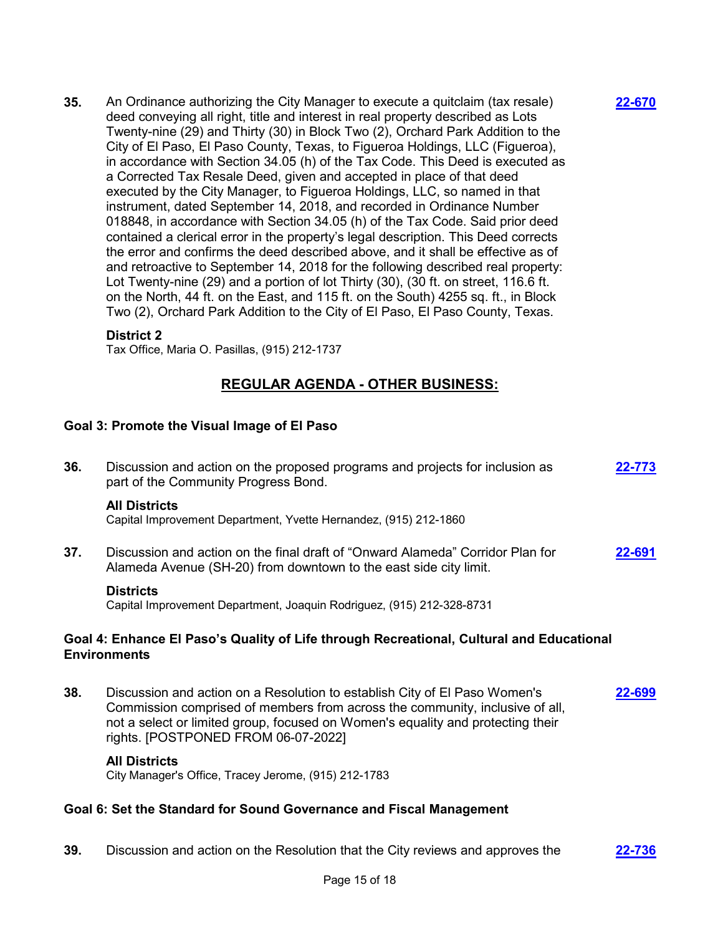**35.** An Ordinance authorizing the City Manager to execute a quitclaim (tax resale) deed conveying all right, title and interest in real property described as Lots Twenty-nine (29) and Thirty (30) in Block Two (2), Orchard Park Addition to the City of El Paso, El Paso County, Texas, to Figueroa Holdings, LLC (Figueroa), in accordance with Section 34.05 (h) of the Tax Code. This Deed is executed as a Corrected Tax Resale Deed, given and accepted in place of that deed executed by the City Manager, to Figueroa Holdings, LLC, so named in that instrument, dated September 14, 2018, and recorded in Ordinance Number 018848, in accordance with Section 34.05 (h) of the Tax Code. Said prior deed contained a clerical error in the property's legal description. This Deed corrects the error and confirms the deed described above, and it shall be effective as of and retroactive to September 14, 2018 for the following described real property: Lot Twenty-nine (29) and a portion of lot Thirty (30), (30 ft. on street, 116.6 ft. on the North, 44 ft. on the East, and 115 ft. on the South) 4255 sq. ft., in Block Two (2), Orchard Park Addition to the City of El Paso, El Paso County, Texas.

### **District 2**

Tax Office, Maria O. Pasillas, (915) 212-1737

# **REGULAR AGENDA - OTHER BUSINESS:**

### **Goal 3: Promote the Visual Image of El Paso**

| 36.                                                                                                             | Discussion and action on the proposed programs and projects for inclusion as<br>part of the Community Progress Bond.                                                                                                                          | 22-773 |
|-----------------------------------------------------------------------------------------------------------------|-----------------------------------------------------------------------------------------------------------------------------------------------------------------------------------------------------------------------------------------------|--------|
|                                                                                                                 | <b>All Districts</b><br>Capital Improvement Department, Yvette Hernandez, (915) 212-1860                                                                                                                                                      |        |
| 37.                                                                                                             | Discussion and action on the final draft of "Onward Alameda" Corridor Plan for<br>Alameda Avenue (SH-20) from downtown to the east side city limit.                                                                                           | 22-691 |
|                                                                                                                 | <b>Districts</b><br>Capital Improvement Department, Joaquin Rodriguez, (915) 212-328-8731                                                                                                                                                     |        |
| Goal 4: Enhance El Paso's Quality of Life through Recreational, Cultural and Educational<br><b>Environments</b> |                                                                                                                                                                                                                                               |        |
| 38.                                                                                                             | Discussion and action on a Resolution to establish City of El Paso Women's<br>Commission comprised of members from across the community, inclusive of all,<br>not a select or limited group, focused on Women's equality and protecting their | 22-699 |

#### **All Districts**

City Manager's Office, Tracey Jerome, (915) 212-1783

rights. [POSTPONED FROM 06-07-2022]

### **Goal 6: Set the Standard for Sound Governance and Fiscal Management**

**39.** Discussion and action on the Resolution that the City reviews and approves the **[22-736](http://elpasotexas.legistar.com/gateway.aspx?m=l&id=/matter.aspx?key=7199)**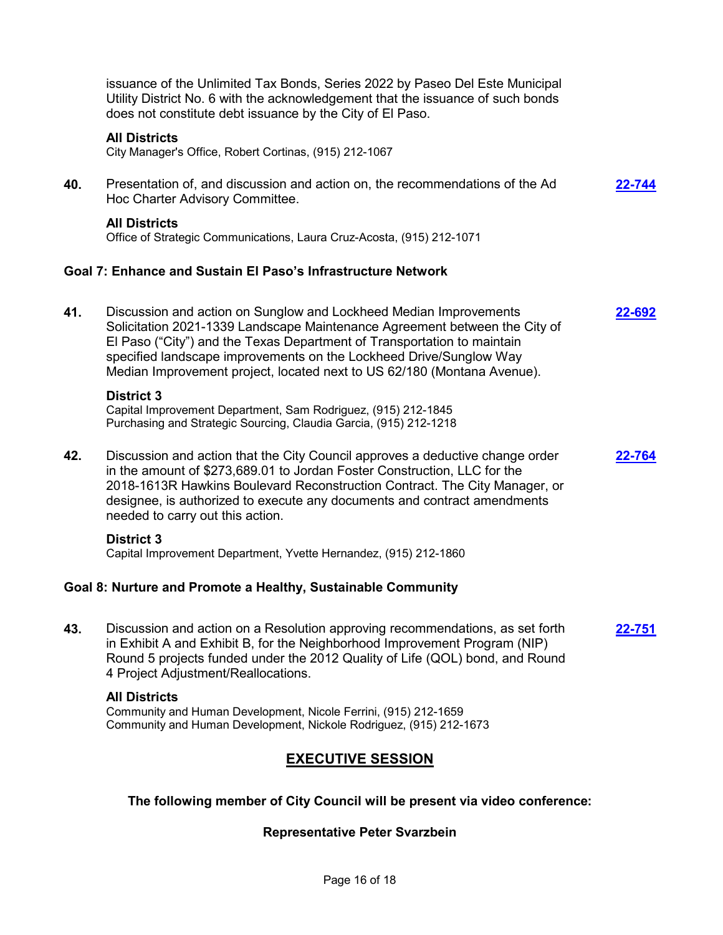|     | <b>EXECUTIVE SESSION</b><br>The following member of City Council will be present via video conference:                                                                                                                                                                                                                                                                      |               |
|-----|-----------------------------------------------------------------------------------------------------------------------------------------------------------------------------------------------------------------------------------------------------------------------------------------------------------------------------------------------------------------------------|---------------|
|     | <b>All Districts</b><br>Community and Human Development, Nicole Ferrini, (915) 212-1659<br>Community and Human Development, Nickole Rodriguez, (915) 212-1673                                                                                                                                                                                                               |               |
| 43. | Discussion and action on a Resolution approving recommendations, as set forth<br>in Exhibit A and Exhibit B, for the Neighborhood Improvement Program (NIP)<br>Round 5 projects funded under the 2012 Quality of Life (QOL) bond, and Round<br>4 Project Adjustment/Reallocations.                                                                                          | 22-751        |
|     | Goal 8: Nurture and Promote a Healthy, Sustainable Community                                                                                                                                                                                                                                                                                                                |               |
|     | <b>District 3</b><br>Capital Improvement Department, Yvette Hernandez, (915) 212-1860                                                                                                                                                                                                                                                                                       |               |
| 42. | Discussion and action that the City Council approves a deductive change order<br>in the amount of \$273,689.01 to Jordan Foster Construction, LLC for the<br>2018-1613R Hawkins Boulevard Reconstruction Contract. The City Manager, or<br>designee, is authorized to execute any documents and contract amendments<br>needed to carry out this action.                     | 22-764        |
|     | <b>District 3</b><br>Capital Improvement Department, Sam Rodriguez, (915) 212-1845<br>Purchasing and Strategic Sourcing, Claudia Garcia, (915) 212-1218                                                                                                                                                                                                                     |               |
| 41. | Discussion and action on Sunglow and Lockheed Median Improvements<br>Solicitation 2021-1339 Landscape Maintenance Agreement between the City of<br>El Paso ("City") and the Texas Department of Transportation to maintain<br>specified landscape improvements on the Lockheed Drive/Sunglow Way<br>Median Improvement project, located next to US 62/180 (Montana Avenue). | <u>22-692</u> |
|     | Goal 7: Enhance and Sustain El Paso's Infrastructure Network                                                                                                                                                                                                                                                                                                                |               |
|     | <b>All Districts</b><br>Office of Strategic Communications, Laura Cruz-Acosta, (915) 212-1071                                                                                                                                                                                                                                                                               |               |
| 40. | Presentation of, and discussion and action on, the recommendations of the Ad<br>Hoc Charter Advisory Committee.                                                                                                                                                                                                                                                             | 22-744        |
|     | <b>All Districts</b><br>City Manager's Office, Robert Cortinas, (915) 212-1067                                                                                                                                                                                                                                                                                              |               |
|     | issuance of the Unlimited Tax Bonds, Series 2022 by Paseo Del Este Municipal<br>Utility District No. 6 with the acknowledgement that the issuance of such bonds<br>does not constitute debt issuance by the City of El Paso.                                                                                                                                                |               |
|     |                                                                                                                                                                                                                                                                                                                                                                             |               |

# **Representative Peter Svarzbein**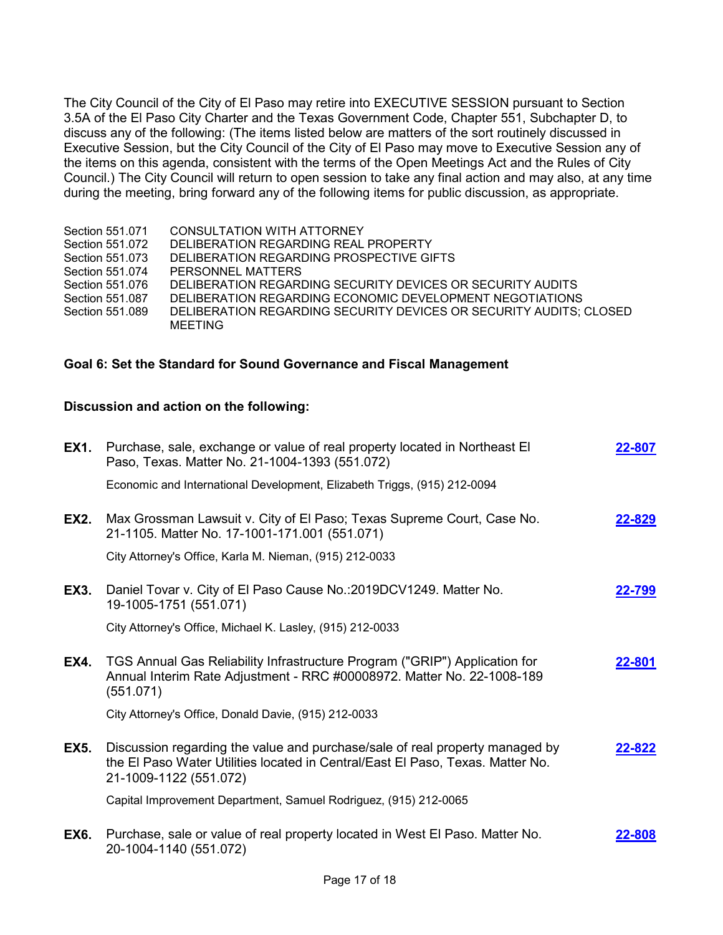The City Council of the City of El Paso may retire into EXECUTIVE SESSION pursuant to Section 3.5A of the El Paso City Charter and the Texas Government Code, Chapter 551, Subchapter D, to discuss any of the following: (The items listed below are matters of the sort routinely discussed in Executive Session, but the City Council of the City of El Paso may move to Executive Session any of the items on this agenda, consistent with the terms of the Open Meetings Act and the Rules of City Council.) The City Council will return to open session to take any final action and may also, at any time during the meeting, bring forward any of the following items for public discussion, as appropriate.

Section 551.071 CONSULTATION WITH ATTORNEY Section 551.072 DELIBERATION REGARDING REAL PROPERTY Section 551.073 DELIBERATION REGARDING PROSPECTIVE GIFTS Section 551.074 PERSONNEL MATTERS Section 551.076 DELIBERATION REGARDING SECURITY DEVICES OR SECURITY AUDITS Section 551.087 DELIBERATION REGARDING ECONOMIC DEVELOPMENT NEGOTIATIONS Section 551.089 DELIBERATION REGARDING SECURITY DEVICES OR SECURITY AUDITS; CLOSED MEETING

### **Goal 6: Set the Standard for Sound Governance and Fiscal Management**

### **Discussion and action on the following:**

| <b>EX1.</b> | Purchase, sale, exchange or value of real property located in Northeast El<br>Paso, Texas. Matter No. 21-1004-1393 (551.072)                                                             | 22-807 |
|-------------|------------------------------------------------------------------------------------------------------------------------------------------------------------------------------------------|--------|
|             | Economic and International Development, Elizabeth Triggs, (915) 212-0094                                                                                                                 |        |
| <b>EX2.</b> | Max Grossman Lawsuit v. City of El Paso; Texas Supreme Court, Case No.<br>21-1105. Matter No. 17-1001-171.001 (551.071)                                                                  | 22-829 |
|             | City Attorney's Office, Karla M. Nieman, (915) 212-0033                                                                                                                                  |        |
| <b>EX3.</b> | Daniel Tovar v. City of El Paso Cause No.: 2019DCV1249. Matter No.<br>19-1005-1751 (551.071)                                                                                             | 22-799 |
|             | City Attorney's Office, Michael K. Lasley, (915) 212-0033                                                                                                                                |        |
| <b>EX4.</b> | TGS Annual Gas Reliability Infrastructure Program ("GRIP") Application for<br>Annual Interim Rate Adjustment - RRC #00008972. Matter No. 22-1008-189<br>(551.071)                        | 22-801 |
|             | City Attorney's Office, Donald Davie, (915) 212-0033                                                                                                                                     |        |
| EX5.        | Discussion regarding the value and purchase/sale of real property managed by<br>the El Paso Water Utilities located in Central/East El Paso, Texas. Matter No.<br>21-1009-1122 (551.072) | 22-822 |
|             | Capital Improvement Department, Samuel Rodriguez, (915) 212-0065                                                                                                                         |        |
| EX6.        | Purchase, sale or value of real property located in West El Paso. Matter No.<br>20-1004-1140 (551.072)                                                                                   | 22-808 |